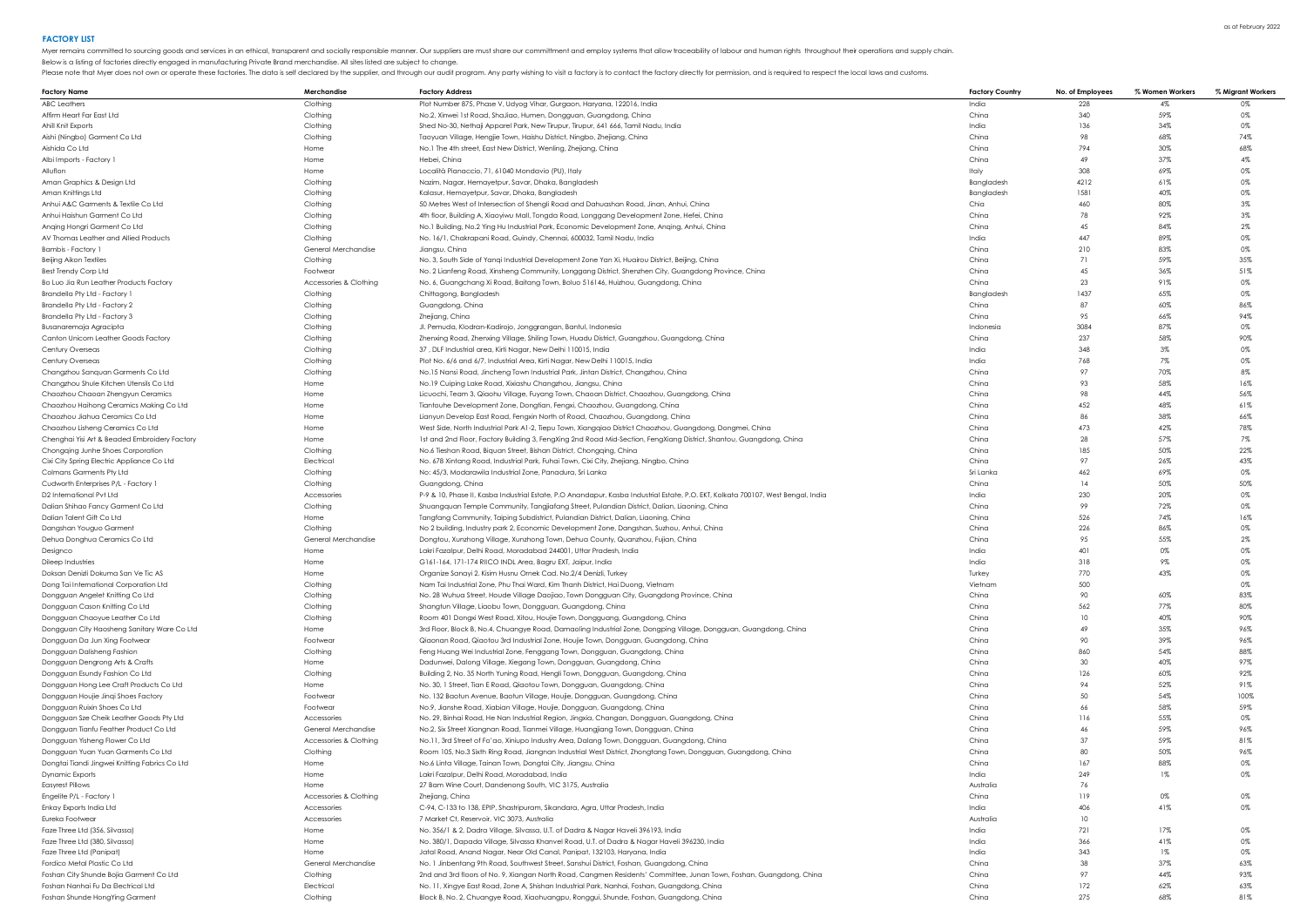Below is a listing of factories directly engaged in manufacturing Private Brand merchandise. All sites listed are subject to change.

| Factory Name                                   | Merchandise            | <b>Factory Address</b>                                                                                                            | <b>Factory Country</b> | No. of Employees | % Women Workers | % Migrant Workers |
|------------------------------------------------|------------------------|-----------------------------------------------------------------------------------------------------------------------------------|------------------------|------------------|-----------------|-------------------|
| ABC Leathers                                   | Clothing               | Plot Number 875, Phase V, Udyog Vihar, Gurgaon, Haryana, 122016, India                                                            | India                  | 228              | 4%              | 0%                |
| Affirm Heart Far East Ltd                      | Clothing               | No.2, Xinwei 1st Road, ShaJiao, Humen, Dongguan, Guangdong, China                                                                 | China                  | 340              | 59%             | 0%                |
| Ahill Knit Exports                             | Clothing               | Shed No-30, Nethaji Apparel Park, New Tirupur, Tirupur, 641 666, Tamil Nadu, India                                                | India                  | 136              | 34%             | 0%                |
| Aishi (Ningbo) Garment Co Ltd                  | Clothing               | Taoyuan Village, Hengjie Town, Haishu District, Ningbo, Zhejiang, China                                                           | China                  | 98               | 68%             | 74%               |
|                                                |                        |                                                                                                                                   |                        | 794              |                 |                   |
| Aishida Co Ltd                                 | Home                   | No.1 The 4th street, East New District, Wenling, Zhejiang, China                                                                  | China                  |                  | 30%             | 68%               |
| Albi Imports - Factory 1                       | Home                   | Hebei, China                                                                                                                      | China                  | 49               | 37%             | 4%                |
| Alluflon                                       | Home                   | Località Pianaccio, 71, 61040 Mondavio (PU), Italy                                                                                | Italy                  | 308              | 69%             | 0%                |
| Aman Graphics & Design Ltd                     | Clothing               | Nazim, Nagar, Hemayetpur, Savar, Dhaka, Bangladesh                                                                                | Bangladesh             | 4212             | 61%             | 0%                |
| Aman Knittings Ltd                             | Clothing               | Kalasur, Hemayetpur, Savar, Dhaka, Bangladesh                                                                                     | Bangladesh             | 1581             | 40%             | 0%                |
| Anhui A&C Garments & Textile Co Ltd            | Clothing               | 50 Metres West of Intersection of Shengli Road and Dahuashan Road, Jinan, Anhui, China                                            | Chia                   | 460              | 80%             | $3\%$             |
| Anhui Haishun Garment Co Ltd                   | Clothing               | 4th floor, Building A, Xiaoyiwu Mall, Tongda Road, Longgang Development Zone, Hefei, China                                        | China                  | 78               | 92%             | $3\%$             |
| Anging Hongri Garment Co Ltd                   | Clothing               | No.1 Building, No.2 Ying Hu Industrial Park, Economic Development Zone, Anqing, Anhui, China                                      | China                  | 45               | 84%             | $2\%$             |
|                                                |                        |                                                                                                                                   |                        |                  |                 |                   |
| AV Thomas Leather and Allied Products          | Clothina               | No. 16/1, Chakrapani Road, Guindy, Chennai, 600032, Tamil Nadu, India                                                             | India                  | 447              | 89%             | 0%                |
| Bambis - Factory 1                             | General Merchandise    | Jianasu, China                                                                                                                    | China                  | 210              | 83%             | 0%                |
| Beijing Aikon Textiles                         | Clothing               | No. 3, South Side of Yangi Industrial Development Zone Yan Xi, Huairou District, Beijing, China                                   | China                  | 71               | 59%             | 35%               |
| <b>Best Trendy Corp Ltd</b>                    | Footwea                | No. 2 Lianfeng Road, Xinsheng Community, Longgang District, Shenzhen City, Guangdong Province, China                              | China                  | 45               | 36%             | 51%               |
| Bo Luo Jia Run Leather Products Factory        | Accessories & Clothing | No. 6, Guangchang Xi Road, Baitang Town, Boluo 516146, Huizhou, Guangdong, China                                                  | China                  | 23               | 91%             | 0%                |
| Brandella Pty Ltd - Factory 1                  | Clothing               | Chittagong, Bangladesh                                                                                                            | Banaladesh             | 1437             | 65%             | 0%                |
| Brandella Pty Ltd - Factory 2                  | Clothing               | Guangdong, China                                                                                                                  | China                  | 87               | 60%             | 86%               |
| Brandella Pty Ltd - Factory 3                  | Clothing               | Zhejiang, China                                                                                                                   | China                  | 95               | 66%             | 94%               |
|                                                |                        |                                                                                                                                   |                        |                  | 87%             | 0%                |
| Busanaremaja Agracipta                         | Clothing               | Jl. Pemuda, Klodran-Kadirojo, Jonggrangan, Bantul, Indonesia                                                                      | Indonesia              | 3084             |                 |                   |
| Canton Unicorn Leather Goods Factory           | Clothing               | Zhenxing Road, Zhenxing Village, Shiling Town, Huadu District, Guangzhou, Guangdong, China                                        | China                  | 237              | 58%             | 90%               |
| Century Overseas                               | Clothing               | 37, DLF Industrial area, Kirti Nagar, New Delhi 110015, India                                                                     | India                  | 348              | $3\%$           | 0%                |
| Century Overseas                               | Clothing               | Plot No. 6/6 and 6/7, Industrial Area, Kirti Nagar, New Delhi 110015, India                                                       | India                  | 768              | 7%              | 0%                |
| Changzhou Sanquan Garments Co Ltd              | Clothing               | No.15 Nansi Road, Jincheng Town Industrial Park, Jintan District, Changzhou, China                                                | China                  | 97               | 70%             | 8%                |
| Changzhou Shule Kitchen Utensils Co Ltd        | Home                   | No.19 Cuiping Lake Road, Xixiashu Changzhou, Jiangsu, China                                                                       | China                  | 93               | 58%             | 16%               |
| Chaozhou Chaoan Zhengyun Ceramics              | Home                   | Licuochi, Team 3, Qiaohu Village, Fuyang Town, Chaoan District, Chaozhou, Guangdong, China                                        | China                  | 98               | 44%             | 56%               |
| Chaozhou Haihong Ceramics Making Co Ltd        | Home                   |                                                                                                                                   | China                  | 452              | 48%             | 61%               |
|                                                |                        | Tiantouhe Development Zone, Dongtian, Fengxi, Chaozhou, Guangdong, China                                                          |                        |                  |                 |                   |
| Chaozhou Jiahua Ceramics Co Ltd                | Home                   | Lianyun Develop East Road, Fengxin North of Road, Chaozhou, Guangdong, China                                                      | China                  | 86               | 38%             | 66%               |
| Chaozhou Lisheng Ceramics Co Ltd               | Home                   | West Side, North Industrial Park A1-2, Tiepu Town, Xiangqiao District Chaozhou, Guangdong, Dongmei, China                         | China                  | 473              | 42%             | 78%               |
| Chenghai Yisi Art & Beaded Embroidery Factory  | Home                   | 1st and 2nd Floor, Factory Building 3, FengXing 2nd Road Mid-Section, FengXiang District, Shantou, Guangdong, China               | China                  | 28               | 57%             | 7%                |
| Chongqing Junhe Shoes Corporation              | Clothing               | No.6 Tieshan Road, Biquan Street, Bishan District, Chongqing, China                                                               | China                  | 185              | 50%             | 22%               |
| Cixi City Spring Electric Appliance Co Ltd     | Electrica              | No. 678 Xintang Road, Industrial Park, Fuhai Town, Cixi City, Zhejiang, Ningbo, China                                             | China                  | 97               | 26%             | 43%               |
| Colmans Garments Pty Ltd                       | Clothing               | No: 45/3, Modarawila Industrial Zone, Panadura, Sri Lanka                                                                         | Sri Lanka              | 462              | 69%             | 0%                |
| Cudworth Enterprises P/L - Factory 1           | Clothing               | Guangdong, China                                                                                                                  | China                  | 14               | 50%             | 50%               |
|                                                |                        |                                                                                                                                   |                        | 230              | 20%             | 0%                |
| D2 International Pvt Ltd                       | <b>Accessories</b>     | P-9 & 10, Phase II, Kasba Industrial Estate, P.O Anandapur, Kasba Industrial Estate, P.O. EKT, Kolkata 700107, West Bengal, India | India                  |                  |                 |                   |
| Dalian Shihao Fancy Garment Co Ltd             | Clothing               | Shuangquan Temple Community, Tangjiafang Street, Pulandian District, Dalian, Liaoning, China                                      | China                  | 99               | $72\%$          | 0%                |
| Dalian Talent Gift Co Ltd                      | Home                   | Tangfang Community, Taiping Subdistrict, Pulandian District, Dalian, Liaoning, China                                              | China                  | 526              | 74%             | 16%               |
| Dangshan Youguo Garment                        | Clothing               | No 2 building, Industry park 2, Economic Development Zone, Dangshan, Suzhou, Anhui, China                                         | China                  | 226              | 86%             | 0%                |
| Dehua Donghua Ceramics Co Ltd                  | General Merchandise    | Dongtou, Xunzhong Village, Xunzhong Town, Dehua County, Quanzhou, Fujian, China                                                   | China                  | 95               | 55%             | $2\%$             |
| Designco                                       | Home                   | Lakri Fazalpur, Delhi Road, Moradabad 244001, Uttar Pradesh, India                                                                | India                  | 401              | $0\%$           | 0%                |
| Dileep Industries                              | Home                   | G161-164, 171-174 RIICO INDL Area, Bagru EXT, Jaipur, India                                                                       | India                  | 318              | $9\%$           | 0%                |
| Doksan Denizli Dokuma San Ve Tic AS            | Home                   | Organize Sanayi 2. Kisim Husnu Ornek Cad. No.2/4 Denizli, Turkey                                                                  | Turkey                 | 770              | 43%             | 0%                |
|                                                |                        |                                                                                                                                   |                        |                  |                 |                   |
| Dong Tai International Corporation Ltd         | Clothing               | Nam Tai Industrial Zone, Phu Thai Ward, Kim Thanh District, Hai Duong, Vietnam                                                    | Vietnan                | 500              |                 | 0%                |
| Dongguan Angelet Knitting Co Ltd               | Clothing               | No. 28 Wuhua Street, Houde Village Daojiao, Town Dongguan City, Guangdong Province, China                                         | China                  | 90               | 60%             | 83%               |
| Dongguan Cason Knitting Co Ltd                 | Clothing               | Shangtun Village, Liaobu Town, Dongguan, Guangdong, China                                                                         | China                  | 562              | 77%             | 80%               |
| Dongguan Chaoyue Leather Co Ltd                | Clothing               | Room 401 Dongxi West Road, Xitou, Houjie Town, Dongguang, Guangdong, China                                                        | China                  | 10               | 40%             | 90%               |
| Dongguan City Haosheng Sanitary Ware Co Ltd    | Home                   | 3rd Floor, Block B, No.4, Chuangye Road, Damaoling Industrial Zone, Dongping Village, Dongguan, Guangdong, China                  | China                  | 49               | 35%             | 96%               |
| Dongguan Da Jun Xing Footwear                  | Footwear               | Qiaonan Road, Qiaotou 3rd Industrial Zone, Houjie Town, Dongguan, Guangdong, China                                                | China                  | 90               | 39%             | 96%               |
| Dongguan Dalisheng Fashion                     | Clothing               | Feng Huang Wei Industrial Zone, Fenggang Town, Dongguan, Guangdong, China                                                         | China                  | 860              | 54%             | 88%               |
| Dongguan Dengrong Arts & Crafts                | Home                   | Dadunwei, Dalong Village, Xiegang Town, Dongguan, Guangdong, China                                                                | China                  | 30 <sup>°</sup>  | 40%             | 97%               |
|                                                |                        |                                                                                                                                   |                        |                  |                 |                   |
| Dongguan Esundy Fashion Co Ltd                 | Clothing               | Building 2, No. 35 North Yuning Road, Hengli Town, Dongguan, Guangdong, China                                                     | China                  | 126              | 60%             | 92%               |
| Dongguan Hong Lee Craft Products Co Ltd        | Home                   | No. 30, 1 Street, Tian E Road, Qiaotou Town, Dongguan, Guangdong, China                                                           | China                  | 94               | 52%             | 91%               |
| Dongguan Houjie Jingi Shoes Factory            | Footwear               | No. 132 Baotun Avenue, Baotun Village, Houjie, Dongguan, Guangdong, China                                                         | China                  | 50               | 54%             | 100%              |
| Dongguan Ruixin Shoes Co Ltd                   | Footwear               | No.9, Jianshe Road, Xiabian Village, Houjie, Dongguan, Guangdong, China                                                           | China                  | 66               | 58%             | 59%               |
| Dongguan Sze Cheik Leather Goods Pty Ltd       | Accessories            | No. 29, Binhai Road, He Nan Industrial Region, Jingxia, Changan, Dongguan, Guangdong, China                                       | China                  | 116              | 55%             | 0%                |
| Dongguan Tianfu Feather Product Co Ltd         | General Merchandise    | No.2, Six Street Xiangnan Road, Tianmei Village, Huangjiang Town, Dongguan, China                                                 | China                  | 46               | 59%             | 96%               |
| Dongguan Yisheng Flower Co Ltd                 | Accessories & Clothing | No.11, 3rd Street of Fo'ao, Xiniupo Industry Area, Dalang Town, Dongguan, Guangdong, China                                        | China                  | 37               | 59%             | 81%               |
| Dongguan Yuan Yuan Garments Co Ltd             | Clothing               | Room 105, No.3 Sixth Ring Road, Jiangnan Industrial West District, Zhongtang Town, Dongguan, Guangdong, China                     | China                  | 80               | 50%             | 96%               |
|                                                |                        | No.6 Linta Village, Tainan Town, Dongtai City, Jiangsu, China                                                                     |                        | 167              |                 |                   |
| Dongtai Tiandi Jingwei Knitting Fabrics Co Ltd | Home                   |                                                                                                                                   | China                  |                  | 88%             | 0%                |
| <b>Dynamic Exports</b>                         | Home                   | Lakri Fazalpur, Delhi Road, Moradabad, India                                                                                      | India                  | 249              | $1\%$           | 0%                |
| Easyrest Pillows                               |                        | 27 Bam Wine Court, Dandenong South, VIC 3175, Australia                                                                           |                        |                  |                 |                   |
| Engelite P/L - Factory 1                       | Accessories & Clothing | Zhejiang, China                                                                                                                   | China                  | 119              | $0\%$           | 0%                |
| Enkay Exports India Ltd                        | Accessories            | C-94, C-133 to 138, EPIP, Shastripuram, Sikandara, Agra, Uttar Pradesh, India                                                     | India                  | 406              | 41%             | 0%                |
| Eureka Footwear                                | Accessories            | 7 Market Ct, Reservoir, VIC 3073, Australia                                                                                       | Australia              | 10               |                 |                   |
| Faze Three Ltd (356, Silvassa)                 | Home                   | No. 356/1 & 2, Dadra Village, Silvassa, U.T. of Dadra & Nagar Haveli 396193, India                                                | India                  | 721              | 17%             | 0%                |
|                                                | Home                   | No. 380/1, Dapada Village, Silvassa Khanvel Road, U.T. of Dadra & Nagar Haveli 396230, India                                      |                        |                  | 41%             | 0%                |
| Faze Three Ltd (380, Silvassa)                 |                        |                                                                                                                                   | India                  | 366              |                 |                   |
| Faze Three Ltd (Panipat)                       | Home                   | Jatal Road, Anand Nagar, Near Old Canal, Panipat, 132103, Haryana, India                                                          | India                  | 343              | $1\%$           | 0%                |
| Fordico Metal Plastic Co Ltd                   | General Merchandise    | No. 1 Jinbentang 9th Road, Southwest Street, Sanshui District, Foshan, Guangdong, China                                           | China                  | 38               | 37%             | 63%               |
| Foshan City Shunde Bojia Garment Co Ltd        | Clothing               | 2nd and 3rd floors of No. 9, Xiangan North Road, Cangmen Residents' Committee, Junan Town, Foshan, Guangdong, China               | China                  | 97               | 44%             | 93%               |
| Foshan Nanhai Fu Da Electrical Ltd             | Electrical             | No. 11, Xingye East Road, Zone A, Shishan Industrial Park, Nanhai, Foshan, Guangdong, China                                       | China                  | 172              | 62%             | 63%               |
| Foshan Shunde HongYing Garment                 | Clothing               | Block B, No. 2, Chuangye Road, Xiaohuangpu, Ronggui, Shunde, Foshan, Guangdong, China                                             | China                  | 275              | 68%             | 81%               |
|                                                |                        |                                                                                                                                   |                        |                  |                 |                   |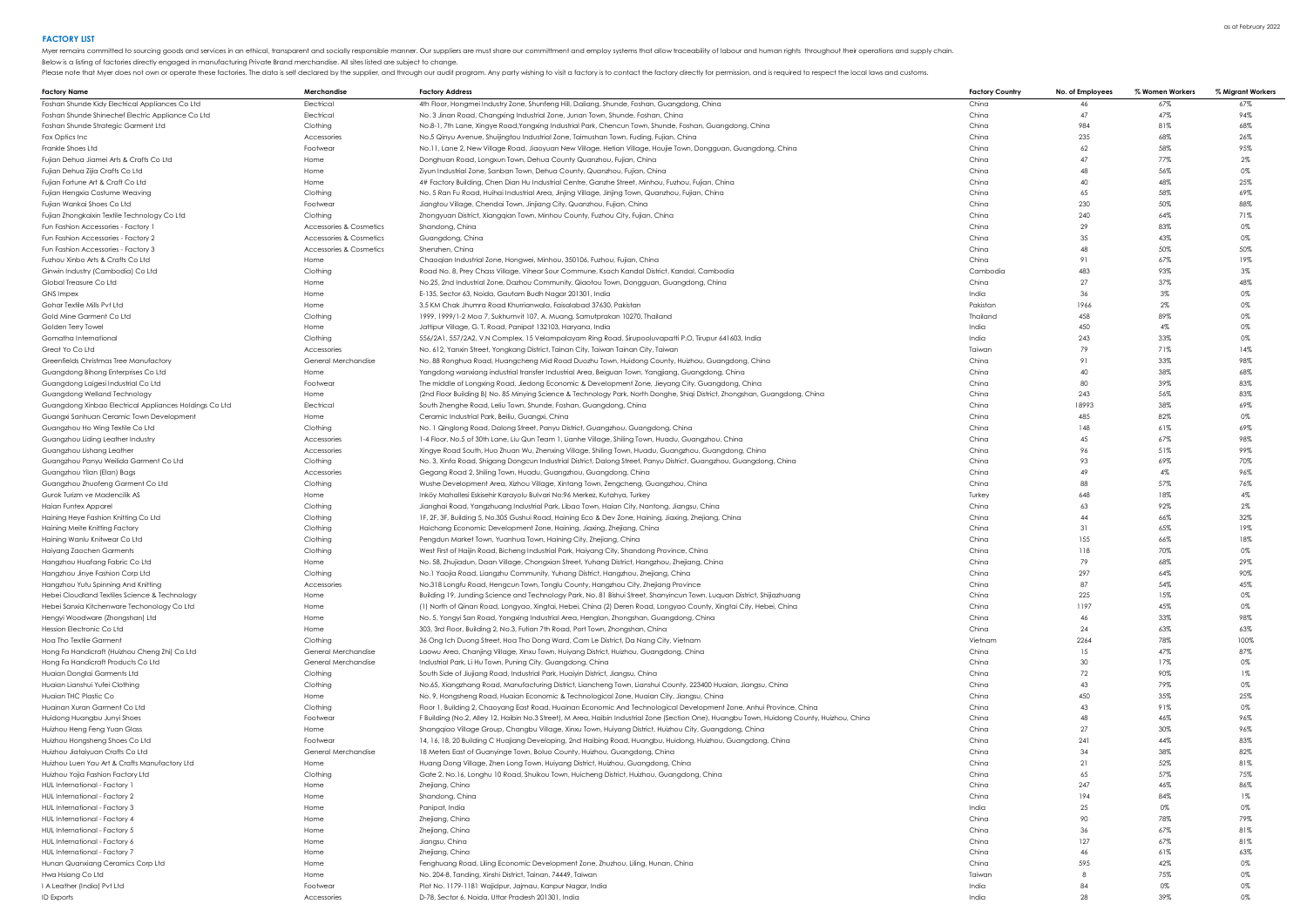Myer remains committed to sourcing goods and services in an ethical, transparent and socially responsible manner. Our suppliers are must share our committment and employ systems that allow traceability of labour and human

Below is a listing of factories directly engaged in manufacturing Private Brand merchandise. All sites listed are subject to change.

| <b>Factory Name</b>                                                                    | Merchandise             | <b>Factory Address</b>                                                                                                                                                                         | <b>Factory Country</b> | No. of Employees | % Women Workers | % Migrant Workers |
|----------------------------------------------------------------------------------------|-------------------------|------------------------------------------------------------------------------------------------------------------------------------------------------------------------------------------------|------------------------|------------------|-----------------|-------------------|
| Foshan Shunde Kidy Electrical Appliances Co Ltd                                        | Electrical              | 4th Floor, Hongmei Industry Zone, Shunfeng Hill, Daliang, Shunde, Foshan, Guangdong, China                                                                                                     | China                  | 46               | 67%             | 67%               |
| Foshan Shunde Shinechef Electric Appliance Co Ltd                                      | Electrical              | No. 3 Jinan Road, Changxing Industrial Zone, Junan Town, Shunde, Foshan, China                                                                                                                 | China                  | 47               | 47%             | 94%               |
| Foshan Shunde Strategic Garment Ltd                                                    | Clothing                | No.8-1, 7th Lane, Xingye Road, Yongxing Industrial Park, Chencun Town, Shunde, Foshan, Guangdong, China                                                                                        | China                  | 984              | 81%             | 68%               |
| Fox Optics Inc                                                                         | Accessories             | No.5 Qinyu Avenue, Shuijingtou Industrial Zone, Taimushan Town, Fuding, Fujian, China                                                                                                          | China                  | 235              | 68%             | 26%               |
| Frankle Shoes Ltd                                                                      | Footwear                | No.11, Lane 2, New Village Road, Jiaoyuan New Village, Hetian Village, Houjie Town, Dongguan, Guangdong, China                                                                                 | China                  | 62               | 58%             | 95%               |
| Fujian Dehua Jiamei Arts & Crafts Co Ltd                                               | Home                    | Donghuan Road, Longxun Town, Dehua County Quanzhou, Fujian, China                                                                                                                              | China                  | 47               | 77%             | $2\%$             |
| Fujian Dehua Zijia Crafts Co Ltd                                                       | Home                    | Ziyun Industrial Zone, Sanban Town, Dehua County, Quanzhou, Fujian, China                                                                                                                      | China                  | 48               | 56%             | 0%                |
| Fujian Fortune Art & Craft Co Ltd                                                      | Home                    | 4# Factory Building, Chen Dian Hu Industrial Centre, Ganzhe Street, Minhou, Fuzhou, Fujian, China                                                                                              | China                  | 40               | 48%             | 25%               |
| Fujian Hengxia Costume Weaving                                                         | Clothing                | No. 5 Ran Fu Road, Huihai Industrial Area, Jinjing Village, Jinjing Town, Quanzhou, Fujian, China                                                                                              | China                  | 65               | 58%             | 69%               |
| Fujian Wankai Shoes Co Ltd                                                             | Footwear                | Jiangtou Village, Chendai Town, Jinjiang City, Quanzhou, Fujian, China                                                                                                                         | China                  | 230              | 50%             | 88%               |
| Fujian Zhongkaixin Textile Technology Co Ltd                                           | Clothing                | Zhongyuan District, Xiangqian Town, Minhou County, Fuzhou City, Fujian, China                                                                                                                  | China                  | 240              | 64%             | 71%               |
| Fun Fashion Accessories - Factory 1                                                    | Accessories & Cosmetics | Shandong, China                                                                                                                                                                                | China                  | 29               | 83%             | 0%                |
| Fun Fashion Accessories - Factory 2                                                    | Accessories & Cosmetics | Guangdong, China                                                                                                                                                                               | China                  | 35               | 43%             | 0%                |
| Fun Fashion Accessories - Factory 3                                                    | Accessories & Cosmetics | Shenzhen, China                                                                                                                                                                                | China                  | 48               | 50%             | 50%               |
| Fuzhou Xinbo Arts & Crafts Co Ltd                                                      | Home                    | Chaogian Industrial Zone, Hongwei, Minhou, 350106, Fuzhou, Fujian, China                                                                                                                       | China                  | 91               | 67%             | 19%               |
| Ginwin Industry (Cambodia) Co Ltd                                                      | Clothing                | Road No. 8, Prey Chass Village, Vihear Sour Commune, Ksach Kandal District, Kandal, Cambodia                                                                                                   | Cambodia               | 483              | 93%             | $3\%$             |
| Global Treasure Co Ltd                                                                 | Home                    | No.25, 2nd Industrial Zone, Dazhou Community, Qiaotou Town, Dongguan, Guangdong, China                                                                                                         | China                  | 27               | 37%             | 48%               |
| <b>GNS Impex</b>                                                                       | Home                    | E-135, Sector 63, Noida, Gautam Budh Nagar 201301, India                                                                                                                                       | India                  | 36               | $3\%$           | 0%                |
| Gohar Textile Mills Pvt Ltd                                                            | Home                    | 3.5 KM Chak Jhumra Road Khurrianwala, Faisalabad 37630, Pakistan                                                                                                                               | Pakistan               | 1966             | $2\%$           | 0%                |
| Gold Mine Garment Co Ltd                                                               | Clothing                | 1999, 1999/1-2 Moo 7, Sukhumvit 107, A. Muang, Samutprakan 10270, Thailand                                                                                                                     | Thailand               | 458              | 89%             | 0%                |
| Golden Terry Towel                                                                     | Home                    | Jattipur Village, G. T. Road, Panipat 132103, Haryana, India                                                                                                                                   | India                  | 450              | $4\%$           | 0%                |
| Gomatha International                                                                  | Clothing                | 556/2A1, 557/2A2, V.N Complex, 15 Velampalayam Ring Road, Sirupooluvapatti P.O, Tirupur 641603, India                                                                                          | India                  | 243              | 33%             | 0%                |
| Great Yo Co Ltd                                                                        | Accessories             | No. 612, Yanxin Street, Yongkang District, Tainan City, Taiwan Tainan City, Taiwan                                                                                                             | Taiwan                 | 79               | 71%             | 14%               |
| Greenfields Christmas Tree Manufactory                                                 | General Merchandise     | No. 88 Ronghua Road, Huangcheng Mid Road Duozhu Town, Huidong County, Huizhou, Guangdong, China                                                                                                | China                  | 91               | 33%             | 98%               |
| Guangdong Bihong Enterprises Co Ltd                                                    | Home                    | Yangdong wanxiang industrial transfer Industrial Area, Beiguan Town, Yangjiang, Guangdong, China                                                                                               | China<br>China         | 40<br>80         | 38%<br>39%      | 68%<br>83%        |
| Guangdong Laigesi Industrial Co Ltd                                                    | Footwear                | The middle of Longxing Road, Jiedong Economic & Development Zone, Jieyang City, Guangdong, China                                                                                               | China                  | 243              | 56%             | 83%               |
| Guangdong Welland Technology<br>Guangdong Xinbao Electrical Appliances Holdings Co Ltd | Home<br>Electrical      | (2nd Floor Building B) No. 85 Minying Science & Technology Park, North Donghe, Shiqi District, Zhongshan, Guangdong, China<br>South Zhenghe Road, Leliu Town, Shunde, Foshan, Guangdong, China | China                  | 18993            | 38%             | 69%               |
| Guangxi Sanhuan Ceramic Town Development                                               | Home                    | Ceramic Industrial Park, Beiliu, Guangxi, China                                                                                                                                                | China                  | 485              | 82%             | 0%                |
| Guangzhou Ho Wing Textile Co Ltd                                                       | Clothing                | No. 1 Qinglong Road, Dalong Street, Panyu District, Guangzhou, Guangdong, China                                                                                                                | China                  | 148              | 61%             | 69%               |
| Guangzhou Liding Leather Industry                                                      | <b>Accessories</b>      | 1-4 Floor, No.5 of 30th Lane, Liu Qun Team 1, Lianhe Village, Shiling Town, Huadu, Guangzhou, China                                                                                            | China                  | 45               | 67%             | 98%               |
| Guangzhou Lishang Leather                                                              | <b>Accessories</b>      | Xingye Road South, Huo Zhuan Wu, Zhenxing Village, Shiling Town, Huadu, Guangzhou, Guangdong, China                                                                                            | China                  | 96               | 51%             | 99%               |
| Guangzhou Panyu Weilida Garment Co Ltd                                                 | Clothing                | No. 3, Xinfa Road, Shigang Dongcun Industrial District, Dalong Street, Panyu District, Guangzhou, Guangdong, China                                                                             | China                  | 93               | 69%             | 70%               |
| Guangzhou Yilan (Elan) Bags                                                            | Accessories             | Gegang Road 2, Shiling Town, Huadu, Guangzhou, Guangdong, China                                                                                                                                | China                  | 49               | 4%              | 96%               |
| Guangzhou Zhuofeng Garment Co Ltd                                                      | Clothing                | Wushe Development Area, Xizhou Village, Xintang Town, Zengcheng, Guangzhou, China                                                                                                              | China                  | 88               | 57%             | 76%               |
| Gurok Turizm ve Madencilik AS                                                          | Home                    | Inköy Mahallesi Eskisehir Karayolu Bulvari No:96 Merkez, Kutahya, Turkey                                                                                                                       | Turkey                 | 648              | 18%             | 4%                |
| Haian Funtex Apparel                                                                   | Clothing                | Jianghai Road, Yangzhuang Industrial Park, Libao Town, Haian City, Nantong, Jiangsu, China                                                                                                     | China                  | 63               | 92%             | $2\%$             |
| Haining Heye Fashion Knitting Co Ltd                                                   | Clothing                | 1F, 2F, 3F, Building 5, No.305 Gushui Road, Haining Eco & Dev Zone, Haining, Jiaxing, Zhejiang, China                                                                                          | China                  | 44               | 66%             | 32%               |
| <b>Haining Meite Knitting Factory</b>                                                  | Clothing                | Haichang Economic Development Zone, Haining, Jiaxing, Zhejiang, China                                                                                                                          | China                  | 31               | 65%             | 19%               |
| Haining Wanlu Knitwear Co Ltd                                                          | Clothing                | Pengdun Market Town, Yuanhua Town, Haining City, Zhejiang, China                                                                                                                               | China                  | 155              | 66%             | 18%               |
| Haiyang Zaochen Garments                                                               | Clothing                | West First of Haijin Road, Bicheng Industrial Park, Haiyang City, Shandong Province, China                                                                                                     | China                  | 118              | 70%             | 0%                |
| Hangzhou Huafang Fabric Co Ltd                                                         | Home                    | No. 58, Zhujiadun, Daan Village, Chongxian Street, Yuhang District, Hangzhou, Zhejiang, China                                                                                                  | China                  | 79               | 68%             | 29%               |
| Hangzhou Jinye Fashion Corp Ltd                                                        | Clothing                | No.1 Yaojia Road, Liangzhu Community, Yuhang District, Hangzhou, Zhejiang, China                                                                                                               | China                  | 297              | 64%             | 90%               |
| Hangzhou Yutu Spinning And Knitting                                                    | Accessories             | No.318 Longfu Road, Hengcun Town, Tonglu County, Hangzhou City, Zhejiang Province                                                                                                              | China                  | 87               | 54%             | 45%               |
| Hebei Cloudland Textiles Science & Technology                                          | Home                    | Building 19, Junding Science and Technology Park, No. 81 Bishui Street, Shanyincun Town, Luquan District, Shijiazhuang                                                                         | China                  | 225              | 15%             | 0%                |
| Hebei Sanxia Kitchenware Techonology Co Ltd                                            | Home                    | (1) North of Qinan Road, Longyao, Xingtai, Hebei, China (2) Deren Road, Longyao County, Xingtai City, Hebei, China                                                                             | China                  | 1197             | 45%             | 0%                |
| Hengyi Woodware (Zhongshan) Ltd                                                        | Home                    | No. 5, Yongyi San Road, Yongxing Industrial Area, Henglan, Zhongshan, Guangdong, China                                                                                                         | China                  | 46               | 33%             | 98%               |
| Hession Electronic Co Ltd                                                              | Home                    | 303, 3rd Floor, Building 2, No.3, Futian 7th Road, Port Town, Zhongshan, China                                                                                                                 | China                  | 24               | 63%             | 63%               |
| Hoa Tho Textile Garment                                                                | Clothing                | 36 Ong Ich Duong Street, Hoa Tho Dong Ward, Cam Le District, Da Nang City, Vietnam                                                                                                             | Vietnan                | 2264             | 78%             | 100%              |
| Hong Fa Handicraft (Huizhou Cheng Zhi) Co Ltd                                          | General Merchandise     | Laowu Area, Chanjing Village, Xinxu Town, Huiyang District, Huizhou, Guangdong, China                                                                                                          | China                  | 15               | 47%             | 87%               |
| Hong Fa Handicraft Products Co Ltd                                                     | General Merchandise     | Industrial Park, Li Hu Town, Puning City, Guangdong, China                                                                                                                                     | China                  | 30               | 17%             | 0%                |
| Huaian Donglai Garments Ltd                                                            | Clothing                | South Side of Jiujiang Road, Industrial Park, Huaiyin District, Jiangsu, China                                                                                                                 | China                  | 72               | 90%             | $1\%$             |
| Huaian Lianshui Yufei Clothing                                                         | Clothing                | No.65, Xiangzhang Road, Manufacturing District, Liancheng Town, Lianshui County, 223400 Huaian, Jiangsu, China                                                                                 | China                  | 43               | 79%             | 0%                |
| Huaian THC Plastic Co                                                                  | Home                    | No. 9, Hongsheng Road, Huaian Economic & Technological Zone, Huaian City, Jiangsu, China                                                                                                       | China                  | 450              | 35%             | 25%               |
| Huainan Xuran Garment Co Ltd                                                           | Clothing                | Floor 1, Building 2, Chaoyang East Road, Huainan Economic And Technological Development Zone, Anhui Province, China                                                                            | China                  | 43               | 91%             | 0%                |
| Huidong Huangbu Junyi Shoes                                                            | Footwear                | F Building (No.2, Alley 12, Haibin No.3 Street), M Area, Haibin Industrial Zone (Section One), Huangbu Town, Huidong County, Huizhou, China                                                    | China                  | 48<br>27         | 46%             | 96%               |
| Huizhou Heng Feng Yuan Glass<br>Huizhou Hongsheng Shoes Co Ltd                         | Home<br>Footwear        | Shangqiao Village Group, Changbu Village, Xinxu Town, Huiyang District, Huizhou City, Guangdong, China                                                                                         | China<br>China         | 241              | $30\%$<br>44%   | 96%<br>83%        |
| Huizhou Jiataiyuan Crafts Co Ltd                                                       | General Merchandise     | 14, 16, 18, 20 Building C Huajiang Developing, 2nd Haibing Road, Huangbu, Huidong, Huizhou, Guangdong, China<br>18 Meters East of Guanyinge Town, Boluo County, Huizhou, Guangdong, China      | Chino                  | 34               | 38%             | 82%               |
| Huizhou Luen Yau Art & Crafts Manufactory Ltd                                          | Home                    | Huang Dong Village, Zhen Long Town, Huiyang District, Huizhou, Guangdong, China                                                                                                                | China                  | 21               | 52%             | 81%               |
| Huizhou Yojia Fashion Factory Ltd                                                      | Clothing                | Gate 2, No.16, Longhu 10 Road, Shuikou Town, Huicheng District, Huizhou, Guangdong, China                                                                                                      | China                  | 65               | 57%             | 75%               |
| HUL International - Factory 1                                                          | Home                    | Zhejiang, China                                                                                                                                                                                | China                  | 247              | 46%             | 86%               |
| HUL International - Factory 2                                                          | Home                    | Shandong, China                                                                                                                                                                                | China                  | 194              | 84%             | $1\%$             |
| HUL International - Factory 3                                                          | Home                    | Panipat, India                                                                                                                                                                                 | India                  | 25               | $0\%$           | 0%                |
| HUL International - Factory 4                                                          | Home                    | Zhejiang, China                                                                                                                                                                                | China                  | 90               | 78%             | 79%               |
| HUL International - Factory 5                                                          | Home                    | Zhejiang, China                                                                                                                                                                                | China                  | 36               | 67%             | 81%               |
| HUL International - Factory 6                                                          | Home                    | Jiangsu, China                                                                                                                                                                                 | China                  | 127              | 67%             | 81%               |
| HUL International - Factory 7                                                          | Home                    | Zhejiang, China                                                                                                                                                                                | China                  | 46               | 61%             | 63%               |
| Hunan Quanxiang Ceramics Corp Ltd                                                      | Home                    | Fenghuang Road, Liling Economic Development Zone, Zhuzhou, Liling, Hunan, China                                                                                                                | China                  | 595              | 42%             | 0%                |
| Hwa Hsiang Co Ltd                                                                      | Home                    | No. 204-8, Tanding, Xinshi District, Tainan, 74449, Taiwan                                                                                                                                     | Taiwan                 | 8                | 75%             | 0%                |
| I A Leather (India) Pvt Ltd                                                            | Footwear                | Plot No. 1179-1181 Wajidpur, Jajmau, Kanpur Nagar, India                                                                                                                                       | India                  | 84               | 0%              | 0%                |
| <b>ID Exports</b>                                                                      | <b>Accessories</b>      | D-78, Sector 6, Noida, Uttar Pradesh 201301, India                                                                                                                                             | India                  | 28               | 39%             | 0%                |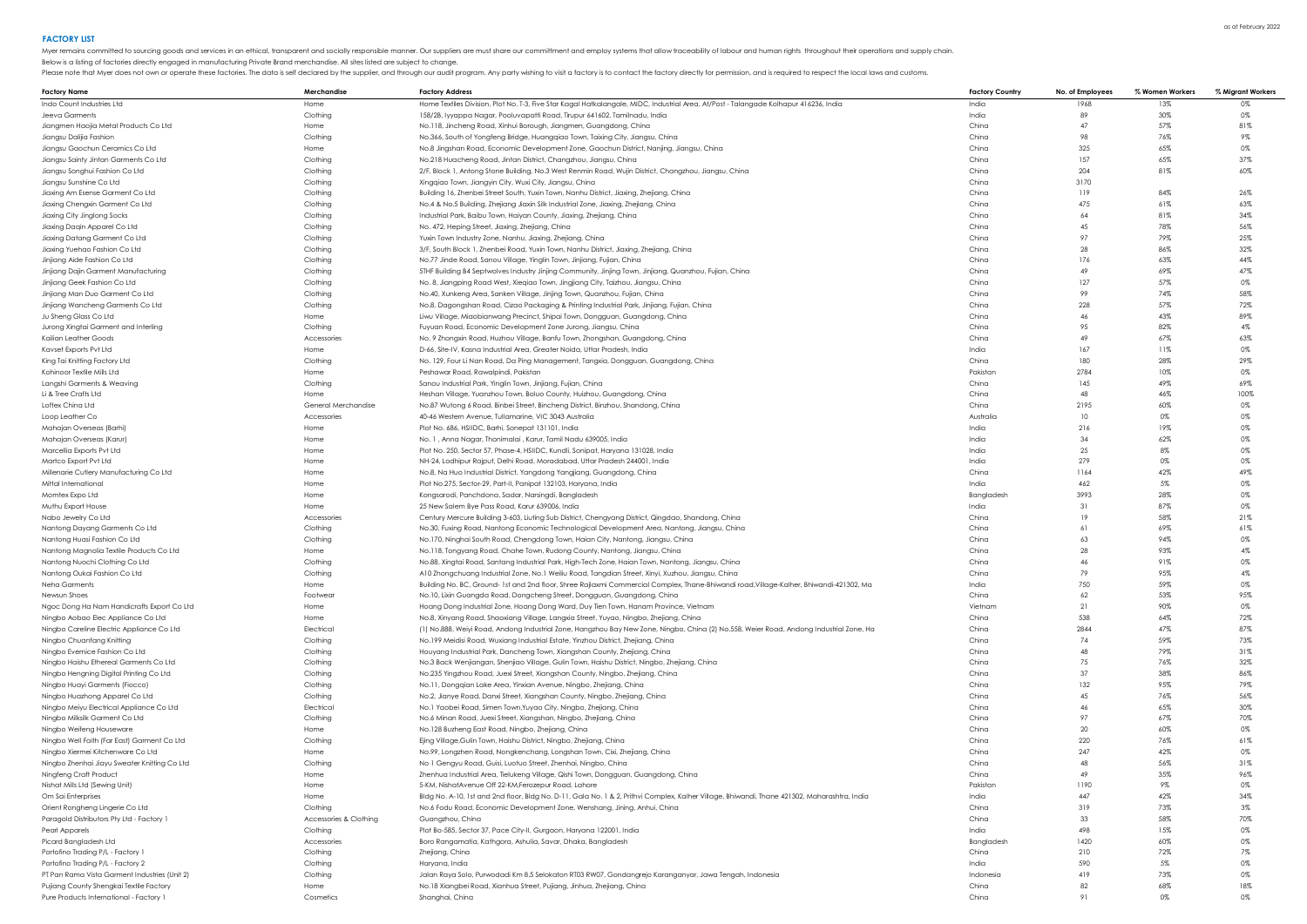Pure Products International - Factory 1

Myer remains committed to sourcing goods and services in an ethical, transparent and socially responsible manner. Our suppliers are must share our committment and employ systems that allow traceability of labour and human Please note that Myer does not own or operate these factories. The data is self declared by the supplier, and through our audit program. Any party wishing to visit a factory is to contact the factory directly for permissio

Below is a listing of factories directly engaged in manufacturing Private Brand merchandise. All sites listed are subject to change.

| <b>Factory Name</b>                                                    | Merchandise                | <b>Factory Address</b>                                                                                                                                         | <b>Factory Country</b> | No. of Employees | % Women Workers | % Migrant Workers |
|------------------------------------------------------------------------|----------------------------|----------------------------------------------------------------------------------------------------------------------------------------------------------------|------------------------|------------------|-----------------|-------------------|
| Indo Count Industries Ltd                                              | Home                       | Home Textiles Division, Plot No. T-3, Five Star Kagal Hatkalangale, MIDC, Industrial Area, At/Post - Talangade Kolhapur 416236, India                          | India                  | 1968             | 13%             | 0%                |
| Jeeva Garments                                                         | Clothing                   | 158/2B, lyyappa Nagar, Pooluvapatti Road, Tirupur 641602, Tamilnadu, India                                                                                     | India                  | 89               | 30%             | 0%                |
| Jiangmen Haojia Metal Products Co Ltd                                  | Home                       | No.118, Jincheng Road, Xinhui Borough, Jiangmen, Guangdong, China                                                                                              | China                  | 47               | 57%             | 81%               |
| Jiangsu Dalijia Fashion                                                | Clothing                   | No.366, South of Yongfeng Bridge, Huangqiao Town, Taixing City, Jiangsu, China                                                                                 | China                  | 98               | 76%             | 9%                |
| Jianasu Gaochun Ceramics Co Ltd                                        | Home                       | No.8 Jingshan Road, Economic Development Zone, Gaochun District, Nanjing, Jiangsu, China                                                                       | China                  | 325              | 65%             | 0%                |
| Jiangsu Sainty Jintan Garments Co Ltd                                  | Clothing                   | No.218 Huacheng Road, Jintan District, Changzhou, Jiangsu, China                                                                                               | China                  | 157              | 65%             | 37%               |
| Jiangsu Songhui Fashion Co Ltd                                         | Clothing                   | 2/F, Block 1, Antong Stone Building, No.3 West Renmin Road, Wujin District, Changzhou, Jiangsu, China                                                          | China                  | 204              | 81%             | 60%               |
| Jiangsu Sunshine Co Ltd                                                | Clothina                   | Xingqiao Town, Jiangyin City, Wuxi City, Jiangsu, China                                                                                                        | China                  | 3170             |                 |                   |
| Jiaxing Am Esense Garment Co Ltd                                       | Clothina                   | Building 16, Zhenbei Street South, Yuxin Town, Nanhu District, Jiaxing, Zhejiang, China                                                                        | China                  | 119              | 84%             | 26%               |
| Jiaxing Chengxin Garment Co Ltd                                        | Clothing                   | No.4 & No.5 Building, Zhejiang Jiaxin Silk Industrial Zone, Jiaxing, Zhejiang, China                                                                           | China                  | 475              | 61%             | 63%               |
| Jiaxing City Jinglong Socks                                            | Clothing                   | Industrial Park, Baibu Town, Haiyan County, Jiaxing, Zhejiang, China                                                                                           | China                  | 64               | 81%             | 34%               |
| Jiaxing Daqin Apparel Co Ltd                                           | Clothing                   | No. 472, Heping Street, Jiaxing, Zhejiang, China                                                                                                               | China                  | 45               | 78%             | 56%               |
| Jiaxing Datang Garment Co Ltd                                          | Clothing                   | Yuxin Town Industry Zone, Nanhu, Jiaxing, Zhejiang, China                                                                                                      | China                  | 97               | 79%             | 25%               |
| Jiaxing Yuehao Fashion Co Ltd                                          | Clothing                   | 3/F, South Block 1, Zhenbei Road, Yuxin Town, Nanhu District, Jiaxing, Zhejiang, China                                                                         | China                  | 28               | 86%             | 32%               |
| Jinjiang Aide Fashion Co Ltd                                           | Clothina                   | No.77 Jinde Road, Sanou Village, Yinglin Town, Jinjiang, Fujian, China                                                                                         | China                  | 176              | 63%             | 44%               |
| Jinjiang Dajin Garment Manufacturing                                   | Clothina                   | 5THF Building B4 Septwolves Industry Jinjing Community, Jinjing Town, Jinjiang, Quanzhou, Fujian, China                                                        | China                  | 49               | 69%             | 47%               |
| Jinjiang Geek Fashion Co Ltd                                           | Clothing                   | No. 8, Jiangping Road West, Xieqiao Town, Jingjiang City, Taizhou, Jiangsu, China                                                                              | China                  | 127              | 57%             | 0%                |
| Jinjiang Man Duo Garment Co Ltd                                        | Clothing                   | No.40, Xunkeng Area, Sanken Village, Jinjing Town, Quanzhou, Fujian, China                                                                                     | China                  | 99               | 74%             | 58%               |
| Jinjiang Wancheng Garments Co Ltd                                      | Clothing                   | No.8, Dagongshan Road, Cizao Packaging & Printing Industrial Park, Jinjiang, Fujian, China                                                                     | China                  | 228              | 57%             | 72%               |
| Ju Shena Glass Co Ltd                                                  | Home                       | Liwu Village, Miaobianwang Precinct, Shipai Town, Dongguan, Guangdong, China                                                                                   | China                  | 46               | 43%             | 89%               |
| Jurong Xingtai Garment and Interling                                   | Clothing                   | Fuyuan Road, Economic Development Zone Jurong, Jiangsu, China                                                                                                  | China                  | 95               | 82%             | $4\%$             |
| Kailian Leather Good:                                                  | Accessories                | No. 9 Zhongxin Road, Huzhou Village, Banfu Town, Zhongshan, Guangdong, China                                                                                   | China                  | 49               | 67%             | 63%               |
| Kavset Exports Pvt Ltd                                                 | Home                       | D-66, Site-IV, Kasna Industrial Area, Greater Noida, Uttar Pradesh, India                                                                                      | India                  | 167              | 11%             | 0%                |
| King Tai Knitting Factory Ltd                                          | Clothing                   | No. 129, Four Li Nan Road, Da Ping Management, Tangxia, Dongguan, Guangdong, China                                                                             | China                  | 180              | 28%             | 29%               |
| Kohinoor Textile Mills Ltd                                             | Home                       | Peshawar Road, Rawalpindi, Pakistan                                                                                                                            | Pakistar               | 2784             | 10%             | $0\%$             |
| Langshi Garments & Weaving                                             | Clothing                   | Sanou Industrial Park, Yinglin Town, Jinjiang, Fujian, China                                                                                                   | China                  | 145              | 49%             | 69%               |
| Li & Tree Crafts Ltd                                                   | Home                       | Heshan Village, Yuanzhou Town, Boluo County, Huizhou, Guangdong, China                                                                                         | China                  | 48               | 46%             | 100%              |
| Loftex China Ltd                                                       | <b>General Merchandise</b> | No.87 Wutong 6 Road, Binbei Street, Bincheng District, Binzhou, Shandong, China                                                                                | China                  | 2195             | 60%             | 0%                |
| Loop Leather Co                                                        | Accessories                | 40-46 Western Avenue, Tullamarine, VIC 3043 Australia                                                                                                          | Australic              | 10               | 0%              | 0%                |
| Mahajan Overseas (Barhi)                                               | Home                       | Plot No. 686, HSIIDC, Barhi, Sonepat 131101, India                                                                                                             | India                  | 216              | 19%             | 0%                |
| Mahaian Overseas (Karur)                                               | Home                       | No. 1, Anna Nagar, Thonimalai, Karur, Tamil Nadu 639005, India                                                                                                 | India                  | 34               | 62%             | 0%                |
|                                                                        | Home                       |                                                                                                                                                                | India                  | 25               | 8%              | 0%                |
| Marcellia Exports Pvt Ltd<br>Martco Export Pvt Ltd                     | Home                       | Plot No. 250, Sector 57, Phase-4, HSIIDC, Kundli, Sonipat, Haryana 131028, India<br>NH-24, Lodhipur Rajput, Delhi Road, Moradabad, Uttar Pradesh 244001, India | India                  | 279              | 0%              | $0\%$             |
| Millenarie Cutlery Manufacturing Co Ltd                                | Home                       | No.8, Na Huo Industrial District, Yangdong Yangjiang, Guangdong, China                                                                                         | China                  | 1164             | 42%             | 49%               |
| Mittal International                                                   | Home                       | Plot No.275, Sector-29, Part-II, Panipat 132103, Harvana, India                                                                                                | India                  | 462              | $5\%$           | 0%                |
| Momtex Expo Ltd                                                        | Home                       | Kongsarodi, Panchdona, Sadar, Narsingdi, Bangladesh                                                                                                            | Bangladesh             | 3993             | 28%             | 0%                |
| Muthu Export House                                                     | Home                       | 25 New Salem Bye Pass Road, Karur 639006, India                                                                                                                | India                  | 31               | 87%             | 0%                |
| Nabo Jewelry Co Ltd                                                    | Accessories                | Century Mercure Building 3-603, Liuting Sub District, Chengyang District, Qingdao, Shandong, China                                                             | China                  | 19               | 58%             | 21%               |
| Nantong Dayang Garments Co Ltd                                         | Clothing                   | No.30, Fuxing Road, Nantong Economic Technological Development Area, Nantong, Jiangsu, China                                                                   | China                  | 61               | 69%             | 61%               |
| Nantong Huasi Fashion Co Ltd                                           | Clothing                   | No.170, Ninghai South Road, Chengdong Town, Haian City, Nantong, Jiangsu, China                                                                                | China                  | 63               | 94%             | $0\%$             |
| Nantong Magnolia Textile Products Co Ltd                               | Home                       | No.118, Tongyang Road, Chahe Town, Rudong County, Nantong, Jiangsu, China                                                                                      | China                  | 28               | 93%             | $4\%$             |
| Nantona Nuochi Clothina Co Ltd                                         | Clothina                   | No.88, Xingtai Road, Santang Industrial Park, High-Tech Zone, Haian Town, Nantong, Jiangsu, China                                                              | China                  | 46               | 91%             | 0%                |
| Nantong Oukai Fashion Co Ltd                                           | Clothing                   | A10 Zhongchuang Industrial Zone, No.1 Weiliu Road, Tangdian Street, Xinyi, Xuzhou, Jiangsu, China                                                              | China                  | 79               | 95%             | 4%                |
| Neha Garments                                                          | Home                       | Building No. BC, Ground-1st and 2nd floor, Shree Rajlaxmi Commercial Complex, Thane-Bhiwandi road, Village-Kalher, Bhiwandi-421302, Ma                         | India                  | 750              | 59%             | 0%                |
| Newsun Shoes                                                           | Footwear                   | No.10, Lixin Guangda Road, Dongcheng Street, Dongguan, Guangdong, China                                                                                        | China                  | 62               | 53%             | 95%               |
| Ngoc Dong Ha Nam Handicrafts Export Co Ltd                             | Home                       | Hoang Dong Industrial Zone, Hoang Dong Ward, Duy Tien Town, Hanam Province, Vietnam                                                                            | Vietnam                | 21               | 90%             | 0%                |
| Ningbo Aobao Elec Appliance Co Ltd                                     | Home                       | No.8, Xinyang Road, Shaoxiang Village, Langxia Street, Yuyao, Ningbo, Zhejiang, China                                                                          | China                  | 538              | 64%             | 72%               |
| Ningbo Careline Electric Appliance Co Ltd                              | Electrical                 | (1) No.888, Weiyi Road, Andong Industrial Zone, Hangzhou Bay New Zone, Ningbo, China (2) No.558, Weier Road, Andong Industrial Zone, Ha                        | China                  | 2844             | 47%             | 87%               |
| Ningbo Chuanfang Knitting                                              | Clothing                   | No.199 Meidisi Road, Wuxiang Industrial Estate, Yinzhou District, Zhejiang, China                                                                              | China                  | 74               | 59%             | 73%               |
| Ninabo Evernice Fashion Co Ltd                                         | Clothing                   | Houyang Industrial Park, Dancheng Town, Xiangshan County, Zhejiang, China                                                                                      | China                  | 48               | 79%             | 31%               |
| Ningbo Haishu Ethereal Garments Co Ltd                                 | Clothing                   | No.3 Back Wenjiangan, Shenjiao Village, Gulin Town, Haishu District, Ningbo, Zhejiang, China                                                                   | China                  | 75               | 76%             | 32%               |
| Ningbo Hengning Digital Printing Co Ltd                                | Clothina                   | No.235 Yingzhou Road, Juexi Street, Xiangshan County, Ningbo, Zhejiang, China                                                                                  | China                  | 37               | 38%             | 86%               |
| Ninabo Huavi Garments (Fiocco)                                         | Clothina                   | No.11. Donagian Lake Area, Yinxian Avenue, Ninabo, Zheijana, Ching                                                                                             | China                  | 132              | 95%             | 79%               |
| Ningbo Huazhong Apparel Co Ltd                                         | Clothina                   | No.2, Jianye Road, Danxi Street, Xiangshan County, Ningbo, Zhejiang, China                                                                                     | China                  | 45               | 76%             | 56%               |
| Ningbo Meiyu Electrical Appliance Co Ltd                               | Electrical                 | No.1 Yaobei Road, Simen Town, Yuyao City, Ningbo, Zhejiang, China                                                                                              | China                  | 46               | 65%             | 30%               |
| Ningbo Milksilk Garment Co Ltd                                         | Clothing                   | No.6 Minan Road, Juexi Street, Xiangshan, Ningbo, Zhejiang, China                                                                                              | China                  | 97               | 67%             | 70%               |
| Ninabo Weifena Houseware                                               | Home                       | No.128 Buzhena East Road, Ninabo, Zheijana, China                                                                                                              | China                  | 20               | 60%             | 0%                |
| Ningbo Well Faith (Far East) Garment Co Ltd                            | Clothing                   | Ejing Village, Gulin Town, Haishu District, Ningbo, Zhejiang, China                                                                                            | China                  | 220              | 76%             | 61%               |
| Ningbo Xiermei Kitchenware Co Ltd                                      | Home                       | No.99, Longzhen Road, Nongkenchang, Longshan Town, Cixi, Zhejiang, China                                                                                       | China                  | 247              | 42%             | 0%                |
|                                                                        | Clothing                   |                                                                                                                                                                | China                  | 48               | 56%             | 31%               |
| Ningbo Zhenhai Jiayu Sweater Knitting Co Ltd<br>Ninafena Craft Product | Home                       | No 1 Gengyu Road, Guisi, Luotuo Street, Zhenhai, Ningbo, China                                                                                                 | China                  | 49               | 35%             | 96%               |
|                                                                        |                            | Zhenhua Industrial Area, Tielukeng Village, Qishi Town, Dongguan, Guangdong, China                                                                             |                        | 1190             | 9%              |                   |
| Nishat Mills Ltd (Sewing Unit)                                         | Home                       | 5-KM, NishatAvenue Off 22-KM, Ferozepur Road, Lahore                                                                                                           | Pakistan               | 447              |                 | $0\%$             |
| Om Sai Enterprises                                                     | Home                       | Bldg No. A-10, 1st and 2nd floor, Bldg No. D-11, Gala No. 1 & 2, Prithvi Complex, Kalher Village, Bhiwandi, Thane 421302, Maharashtra, India                   | India<br>China         | 319              | 42%<br>73%      | 34%               |
| Orient Rongheng Lingerie Co Ltd                                        | Clothing                   | No.6 Fodu Road, Economic Development Zone, Wenshang, Jining, Anhui, China<br>Guanazhou, China                                                                  | China                  | 33               | 58%             | $3\%$<br>70%      |
| Paragold Distributors Pty Ltd - Factory 1                              | Accessories & Clothing     |                                                                                                                                                                |                        |                  |                 |                   |
| Pearl Apparels                                                         | Clothing                   | Plot Bo-585, Sector 37, Pace City-II, Gurgaon, Haryana 122001, India                                                                                           | India                  | 498              | 15%             | 0%                |
| Picard Banaladesh Ltd                                                  | Accessories                | Boro Rangamatia, Kathgora, Ashulia, Savar, Dhaka, Bangladesh                                                                                                   | Banaladesh             | 1420             | 60%<br>72%      | 0%                |
| Portofino Trading P/L - Factory 1                                      | Clothina<br>Clothing       | Zhejiang, China                                                                                                                                                | China<br>India         | 210<br>590       | 5%              | 7%<br>0%          |
| Portofino Trading P/L - Factory 2                                      |                            | Harvana, India                                                                                                                                                 |                        |                  |                 |                   |

PT Pan Rama Vista Garment Industries (Unit 2) Clothing Clothing Jalan Raya Solo, Purwodadi Km 8.5 Selokaton RT03 RW07, Gondangrejo Karanganyar, Jawa Tengah, Indonesia Indonesia 19 19 73% 73% 0% e Pujiang County Shengkai Textile Factory والمستحدث المستحدث المستحدث المستحدث المستحدث المستحدث المستحدث المستحدث المستحدث المستحدث المستحدث المستحدث المستحدث المستحدث المستحدث المستحدث المستحدث المستحدث المستحدث المستح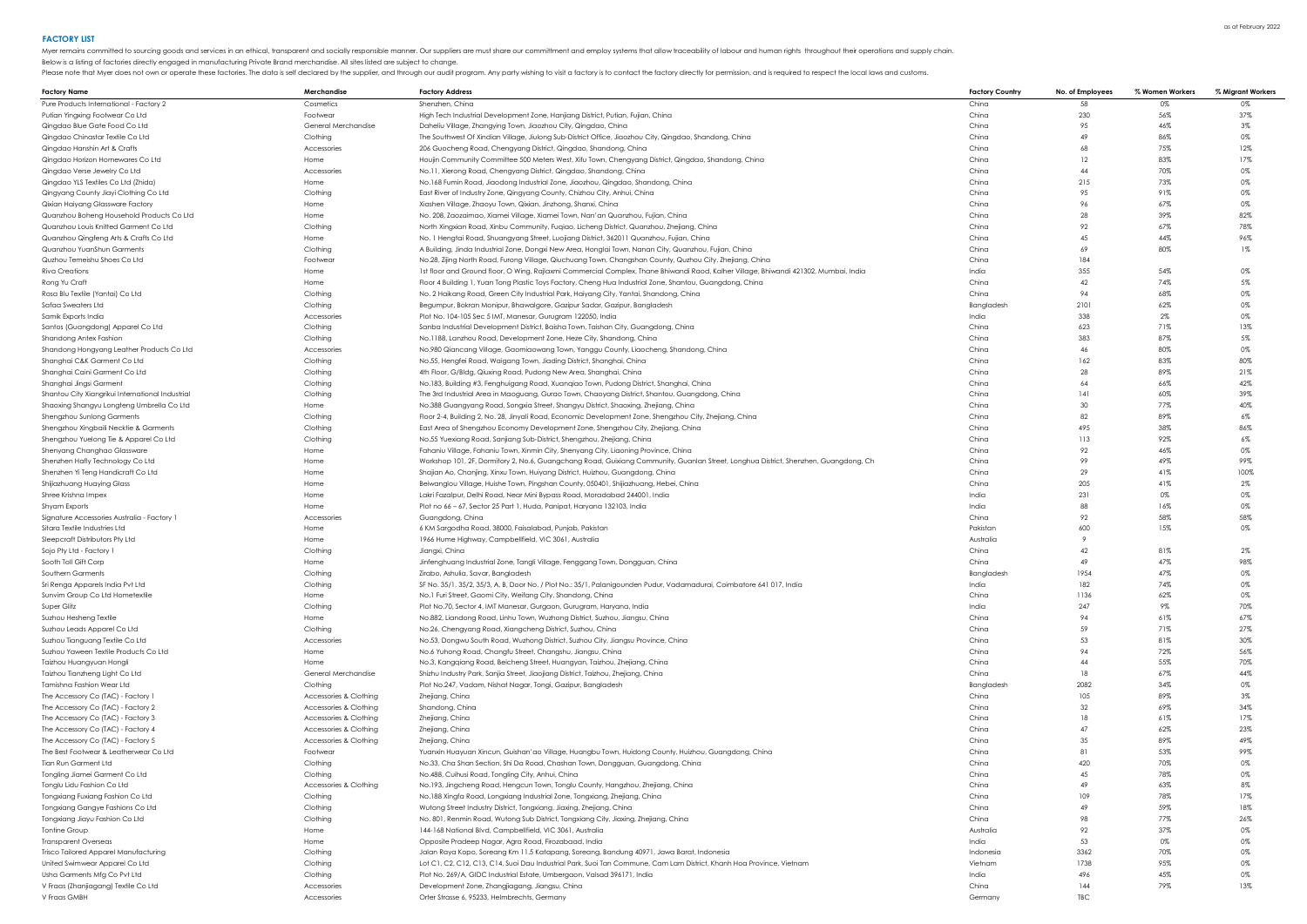Myer remains committed to sourcing goods and services in an ethical, transparent and socially responsible manner. Our suppliers are must share our committment and employ systems that allow traceability of labour and human

Below is a listing of factories directly engaged in manufacturing Private Brand merchandise. All sites listed are subject to change.

| <b>Factory Name</b>                              | Merchandise            | <b>Factory Address</b>                                                                                                               | <b>Factory Country</b> | No. of Employees | % Women Workers | % Migrant Workers |
|--------------------------------------------------|------------------------|--------------------------------------------------------------------------------------------------------------------------------------|------------------------|------------------|-----------------|-------------------|
| Pure Products International - Factory 2          | Cosmetics              | Shenzhen, China                                                                                                                      | China                  | -58              | 0%              | 0%                |
| Putian Yingxing Footwear Co Ltd                  | Footwear               | High Tech Industrial Development Zone, Hanjiang District, Putian, Fujian, China                                                      | China                  | 230              | 56%             | 37%               |
| Qingdao Blue Gate Food Co Ltd                    | General Merchandise    | Daheliu Village, Zhangying Town, Jiaozhou City, Qingdao, China                                                                       | China                  | 95               | 46%             | 3%                |
| Qingdao Chinastar Textile Co Ltd                 | Clothing               | The Southwest Of Xindian Village, Jiulong Sub-District Office, Jiaozhou City, Qingdao, Shandong, China                               | China                  | 49               | 86%             | 0%                |
| Qingdao Hanshin Art & Crafts                     | Accessories            | 206 Guocheng Road, Chengyang District, Qingdao, Shandong, China                                                                      | China                  | 68               | 75%             | 12%               |
| Qingdao Horizon Homewares Co Ltd                 | Home                   | Houjin Community Committee 500 Meters West, Xifu Town, Chengyang District, Qingdao, Shandong, China                                  | China                  | 12               | 83%             | 17%               |
| Qingdao Verse Jewelry Co Ltd                     | Accessories            | No.11, Xierong Road, Chengyang District, Qingdao, Shandong, China                                                                    | China                  | 44               | 70%             | 0%                |
|                                                  | Home                   |                                                                                                                                      | China                  | 215              | 73%             | 0%                |
| Qingdao YLS Textiles Co Ltd (Zhida)              |                        | No.168 Fumin Road, Jiaodong Industrial Zone, Jiaozhou, Qingdao, Shandong, China                                                      |                        |                  |                 |                   |
| Qingyang County Jiayi Clothing Co Ltd            | Clothing               | East River of Industry Zone, Qingyang County, Chizhou City, Anhui, China                                                             | China                  | 95               | 91%             | 0%                |
| Qixian Haiyang Glassware Factory                 | Home                   | Xiashen Village, Zhaoyu Town, Qixian, Jinzhong, Shanxi, China                                                                        | China                  | 96               | 67%             | 0%                |
| Quanzhou Boheng Household Products Co Ltd        | Home                   | No. 208, Zaozaimao, Xiamei Village, Xiamei Town, Nan'an Quanzhou, Fujian, China                                                      | China                  | 28               | 39%             | 82%               |
| Quanzhou Louis Knitted Garment Co Ltd            | Clothing               | North Xingxian Road, Xinbu Community, Fuqiao, Licheng District, Quanzhou, Zhejiang, China                                            | China                  | 92               | 67%             | 78%               |
| Quanzhou Qingfeng Arts & Crafts Co Ltd           | Home                   | No. 1 Hengtai Road, Shuangyang Street, Luojiang District, 362011 Quanzhou, Fujian, China                                             | China                  | 45               | 44%             | 96%               |
| Quanzhou YuanShun Garments                       | Clothing               | A Building, Jinda Industrial Zone, Dongxi New Area, Honglai Town, Nanan City, Quanzhou, Fujian, China                                | China                  | 69               | 80%             | $1\%$             |
| Quzhou Temeishu Shoes Co Ltd                     | Footwear               | No.28, Zijing North Road, Furong Village, Qiuchuang Town, Changshan County, Quzhou City, Zhejiang, China                             | China                  | 184              |                 |                   |
| Riva Creations                                   | Home                   | 1st floor and Ground floor, O Wing, Rajlaxmi Commercial Complex, Thane Bhiwandi Raod, Kalher Village, Bhiwandi 421302, Mumbai, India | India                  | 355              | 54%             | 0%                |
| Rong Yu Craft                                    | Home                   | Floor 4 Building 1, Yuan Tong Plastic Toys Factory, Cheng Hua Industrial Zone, Shantou, Guangdong, China                             | China                  | 42               | 74%             | 5%                |
| Rosa Blu Textile (Yantai) Co Ltd                 | Clothina               | No. 2 Haikang Road, Green City Industrial Park, Haiyang City, Yantai, Shandong, China                                                | China                  | 94               | 68%             | 0%                |
| Safaa Sweaters Ltd                               | Clothing               | Begumpur, Bokran Monipur, Bhawalgore, Gazipur Sadar, Gazipur, Bangladesh                                                             | Bangladesh             | 2101             | 62%             | 0%                |
| Samik Exports India                              | Accessories            | Plot No. 104-105 Sec 5 IMT, Manesar, Gurugram 122050, India                                                                          | India                  | 338              | 2%              | 0%                |
| Santos (Guangdong) Apparel Co Ltd                | Clothing               | Sanba Industrial Development District, Baisha Town, Taishan City, Guangdong, China                                                   | China                  | 623              | 71%             | 13%               |
| Shandong Antex Fashion                           | Clothing               | No.1188, Lanzhou Road, Development Zone, Heze City, Shandong, China                                                                  | China                  | 383              | 87%             | 5%                |
| Shandong Hongyang Leather Products Co Ltd        | Accessories            | No.980 Qiancang Village, Gaomiaowang Town, Yanggu County, Liaocheng, Shandong, China                                                 | China                  | 46               | 80%             | 0%                |
| Shanghai C&K Garment Co Ltd                      | Clothing               | No.55, Hengfei Road, Waigang Town, Jiading District, Shanghai, China                                                                 | China                  | 162              | 83%             | 80%               |
| Shanghai Caini Garment Co Ltd                    | Clothing               | 4th Floor, G/Bldg, Qiuxing Road, Pudong New Area, Shanghai, China                                                                    | China                  | 28               | 89%             | 21%               |
| Shanghai Jingsi Garment                          | Clothing               | No.183, Building #3, Fenghuigang Road, Xuanqiao Town, Pudong District, Shanghai, China                                               | China                  | 64               | 66%             | 42%               |
| Shantou City Xiangrikui International Industrial | Clothing               | The 3rd Industrial Area in Maoguang, Gurao Town, Chaoyang District, Shantou, Guangdong, China                                        | China                  | 141              | 60%             | 39%               |
| Shaoxing Shangyu Longteng Umbrella Co Ltd        | Home                   | No.388 Guangyang Road, Songxia Street, Shangyu District, Shaoxing, Zhejiang, China                                                   | China                  | 30               | 77%             | 40%               |
| Shengzhou Sunlong Garments                       | Clothing               | Floor 2-4, Building 2, No. 28, Jinyali Road, Economic Development Zone, Shengzhou City, Zhejiang, China                              | China                  | 82               | 89%             | $6\%$             |
| Shengzhou Xingbaili Necktie & Garments           | Clothing               | East Area of Shengzhou Economy Development Zone, Shengzhou City, Zhejiang, China                                                     | China                  | 49.5             | 38%             | 86%               |
| Shengzhou Yuelong Tie & Apparel Co Ltd           | Clothing               | No.55 Yuexiang Road, Sanjiang Sub-District, Shengzhou, Zhejiang, China                                                               | China                  | 113              | 92%             | $6\%$             |
| Shenyang Changhao Glassware                      | Home                   | Fahaniu Village, Fahaniu Town, Xinmin City, Shenyang City, Liaoning Province, China                                                  | China                  | 92               | 46%             | 0%                |
| Shenzhen Hafly Technology Co Ltd                 | Home                   | Workshop 101, 2F, Dormitory 2, No.6, Guangchang Road, Guixiang Community, Guanlan Street, Longhua District, Shenzhen, Guangdong, Ch  | China                  | 99               | 49%             | 99%               |
| Shenzhen Yi Teng Handicraft Co Ltd               | Home                   | Shajian Ao, Chanjing, Xinxu Town, Huiyang District, Huizhou, Guangdong, China                                                        | China                  | 29               | 41%             | 100%              |
| Shijiazhuang Huaying Glass                       | Home                   | Beiwanglou Village, Huishe Town, Pingshan County, 050401, Shijiazhuang, Hebei, China                                                 | China                  | 205              | 41%             | $2\%$             |
| Shree Krishna Impex                              | Home                   | Lakri Fazalpur, Delhi Road, Near Mini Bypass Road, Moradabad 244001, India                                                           | India                  | 231              | 0%              | 0%                |
|                                                  | Home                   |                                                                                                                                      | India                  | 88               | 16%             | 0%                |
| Shyam Exports                                    |                        | Plot no 66 - 67, Sector 25 Part 1, Huda, Panipat, Haryana 132103, India                                                              |                        |                  |                 |                   |
| Signature Accessories Australia - Factory 1      | Accessories            | Guangdong, China                                                                                                                     | China                  | 92               | 58%             | 58%               |
| Sitara Textile Industries Ltd                    | Home                   | 6 KM Sargodha Road, 38000, Faisalabad, Punjab, Pakistan                                                                              | Pakistan               | 600              | 15%             | 0%                |
| Sleepcraft Distributors Pty Ltd                  | Home                   | 1966 Hume Highway, Campbellfield, VIC 3061, Australia                                                                                | Australia              |                  |                 |                   |
| Sojo Pty Ltd - Factory 1                         | Clothing               | Jianaxi, China                                                                                                                       | China                  | 42               | 81%             | $2\%$             |
| Sooth Toll Gift Corp                             | Home                   | Jinfenghuang Industrial Zone, Tangli Village, Fenggang Town, Dongguan, China                                                         | China                  | 49               | 47%             | 98%               |
| Southern Garments                                | Clothing               | Zirabo, Ashulia, Savar, Bangladesh                                                                                                   | Bangladesh             | 1954             | 47%             | 0%                |
| Sri Renga Apparels India Pvt Ltd                 | Clothing               | SF No. 35/1, 35/2, 35/3, A, B, Door No. / Plot No.: 35/1, Palanigounden Pudur, Vadamadurai, Coimbatore 641 017, India                | India                  | 182              | 74%             | 0%                |
| Sunvim Group Co Ltd Hometextile                  | Home                   | No.1 Furi Street, Gaomi City, Weifang City, Shandong, China                                                                          | China                  | 1136             | 62%             | 0%                |
| Super Glitz                                      | Clothing               | Plot No.70, Sector 4, IMT Manesar, Gurgaon, Gurugram, Haryana, India                                                                 | India                  | 247              | 9%              | 70%               |
| Suzhou Hesheng Textile                           | Home                   | No.882, Liandong Road, Linhu Town, Wuzhong District, Suzhou, Jiangsu, China                                                          | China                  | 94               | 61%             | 67%               |
| Suzhou Leads Apparel Co Ltd                      | Clothina               | No.26, Chengyang Road, Xiangcheng District, Suzhou, China                                                                            | China                  | 59               | 71%             | 27%               |
| Suzhou Tianguang Textile Co Ltd                  | Accessories            | No.53, Dongwu South Road, Wuzhong District, Suzhou City, Jiangsu Province, China                                                     | China                  | 53               | 81%             | 30%               |
| Suzhou Yaween Textile Products Co Ltd            | Home                   | No.6 Yuhong Road, Changfu Street, Changshu, Jiangsu, China                                                                           | China                  | 94               | 72%             | 56%               |
| Taizhou Huangyuan Hongli                         | Home                   | No.3, Kangqiang Road, Beicheng Street, Huangyan, Taizhou, Zhejiang, China                                                            | China                  | 44               | 55%             | 70%               |
| Taizhou Tianzheng Light Co Ltd                   | General Merchandise    | Shizhu Industry Park, Sanjia Street, Jiaojiang District, Taizhou, Zhejiang, China                                                    | China                  | 18               | 67%             | 44%               |
| Tamishna Fashion Wear Ltd                        | Clothina               | Plot No.247, Vadam, Nishat Nagar, Tongi, Gazipur, Bangladesh                                                                         | Bangladesh             | 2082             | 34%             | 0%                |
| The Accessory Co (TAC) - Factory 1               | Accessories & Clothing | Zhejiang, China                                                                                                                      | China                  | 105              | 89%             | $3\%$             |
| The Accessory Co (TAC) - Factory 2               | Accessories & Clothing | Shandong, China                                                                                                                      | China                  | 32               | 69%             | 34%               |
| The Accessory Co (TAC) - Factory 3               | Accessories & Clothing | Zhejiang, China                                                                                                                      | China                  | 18               | 61%             | 17%               |
| The Accessory Co (TAC) - Factory 4               | Accessories & Clothing | Zhejiang, China                                                                                                                      | China                  | 47               | 62%             | 23%               |
| The Accessory Co (TAC) - Factory 5               | Accessories & Clothing | Zhejiang, China                                                                                                                      | China                  | 35               | 89%             | 49%               |
| The Best Footwear & Leatherwear Co Ltd           | Footwear               | Yuanxin Huayuan Xincun, Guishan'ao Village, Huangbu Town, Huidong County, Huizhou, Guangdong, China                                  | China                  | 81               | 53%             | 99%               |
| Tian Run Garment Ltd                             | Clothing               | No.33, Cha Shan Section, Shi Da Road, Chashan Town, Dongguan, Guangdong, China                                                       | China                  | 420              | 70%             | 0%                |
| Tongling Jiamei Garment Co Ltd                   | Clothing               | No.488, Cuihusi Road, Tongling City, Anhui, China                                                                                    | China                  | 45               | 78%             | 0%                |
| Tonglu Lidu Fashion Co Ltd                       | Accessories & Clothing | No.193, Jingcheng Road, Hengcun Town, Tonglu County, Hangzhou, Zhejiang, China                                                       | China                  | 49               | 63%             | 8%                |
| Tongxiang Fuxiang Fashion Co Ltd                 | Clothing               | No.188 Xingfa Road, Longxiang Industrial Zone, Tongxiang, Zhejiang, China                                                            | China                  | 109              | 78%             | 17%               |
| Tongxiang Gangye Fashions Co Ltd                 | Clothing               | Wutong Street Industry District, Tongxiang, Jiaxing, Zhejiang, China                                                                 | China                  | 49               | 59%             | 18%               |
| Tongxiang Jiayu Fashion Co Ltd                   | Clothing               | No. 801, Renmin Road, Wutong Sub District, Tongxiang City, Jiaxing, Zhejiang, China                                                  | China                  | 98               | 77%             | 26%               |
| Tontine Group                                    | Home                   | 144-168 National Blvd, Campbellfield, VIC 3061, Australia                                                                            | Australia              | 92               | 37%             | 0%                |
| <b>Transparent Overseas</b>                      | Home                   | Opposite Pradeep Nagar, Agra Road, Firozabaad, India                                                                                 | India                  | 53               | 0%              | 0%                |
| Trisco Tailored Apparel Manufacturing            | Clothing               | Jalan Raya Kopo, Soreang Km 11.5 Katapang, Soreang, Bandung 40971, Jawa Barat, Indonesia                                             | Indonesia              | 3362             | 70%             | 0%                |
| United Swimwear Apparel Co Ltd                   | Clothing               | Lot C1, C2, C12, C13, C14, Suoi Dau Industrial Park, Suoi Tan Commune, Cam Lam District, Khanh Hoa Province, Vietnam                 | Vietnam                | 1738             | 95%             | 0%                |
| Usha Garments Mfg Co Pvt Ltd                     | Clothing               | Plot No. 269/A, GIDC Industrial Estate, Umbergaon, Valsad 396171, India                                                              | India                  | 496              | 45%             | 0%                |
|                                                  |                        |                                                                                                                                      |                        |                  |                 |                   |
| V Fraas (Zhanjiagang) Textile Co Ltd             | Accessories            | Development Zone, Zhangjiagang, Jiangsu, China                                                                                       | China                  | 144              | 79%             | 13%               |
| V Fraas GMBH                                     | Accessories            | Orter Strasse 6, 95233, Helmbrechts, Germany                                                                                         | Germany                | TBC              |                 |                   |